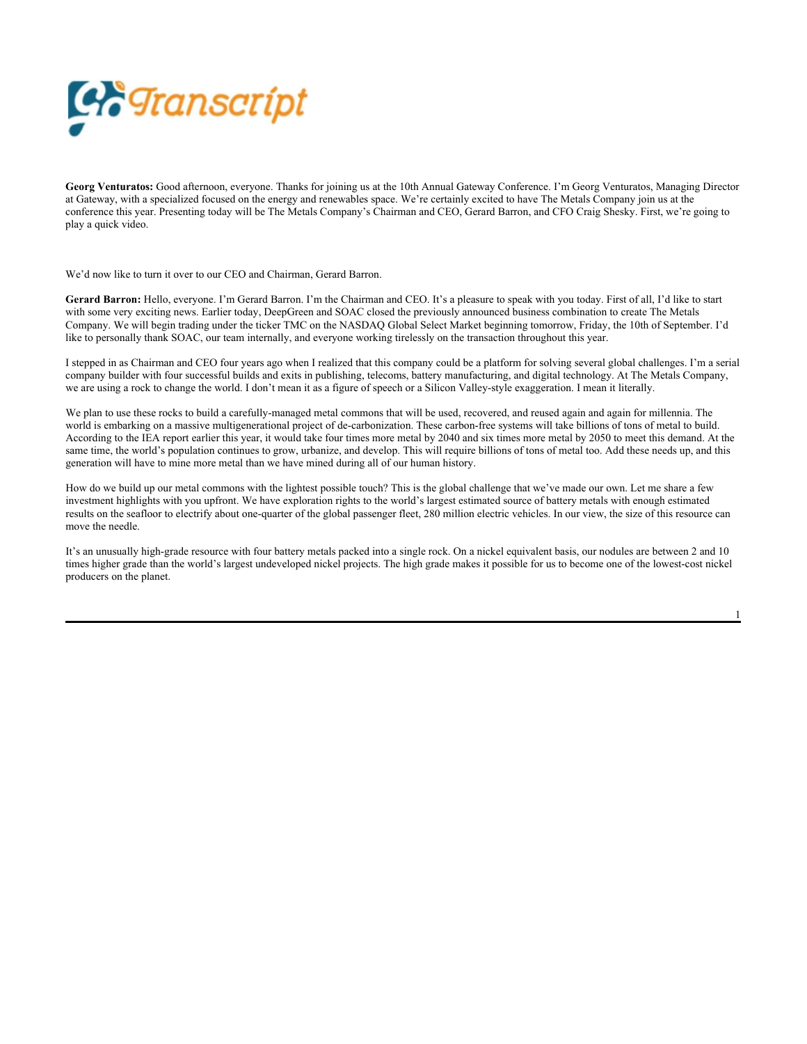

**Georg Venturatos:** Good afternoon, everyone. Thanks for joining us at the 10th Annual Gateway Conference. I'm Georg Venturatos, Managing Director at Gateway, with a specialized focused on the energy and renewables space. We're certainly excited to have The Metals Company join us at the conference this year. Presenting today will be The Metals Company's Chairman and CEO, Gerard Barron, and CFO Craig Shesky. First, we're going to play a quick video.

We'd now like to turn it over to our CEO and Chairman, Gerard Barron.

**Gerard Barron:** Hello, everyone. I'm Gerard Barron. I'm the Chairman and CEO. It's a pleasure to speak with you today. First of all, I'd like to start with some very exciting news. Earlier today, DeepGreen and SOAC closed the previously announced business combination to create The Metals Company. We will begin trading under the ticker TMC on the NASDAQ Global Select Market beginning tomorrow, Friday, the 10th of September. I'd like to personally thank SOAC, our team internally, and everyone working tirelessly on the transaction throughout this year.

I stepped in as Chairman and CEO four years ago when I realized that this company could be a platform for solving several global challenges. I'm a serial company builder with four successful builds and exits in publishing, telecoms, battery manufacturing, and digital technology. At The Metals Company, we are using a rock to change the world. I don't mean it as a figure of speech or a Silicon Valley-style exaggeration. I mean it literally.

We plan to use these rocks to build a carefully-managed metal commons that will be used, recovered, and reused again and again for millennia. The world is embarking on a massive multigenerational project of de-carbonization. These carbon-free systems will take billions of tons of metal to build. According to the IEA report earlier this year, it would take four times more metal by 2040 and six times more metal by 2050 to meet this demand. At the same time, the world's population continues to grow, urbanize, and develop. This will require billions of tons of metal too. Add these needs up, and this generation will have to mine more metal than we have mined during all of our human history.

How do we build up our metal commons with the lightest possible touch? This is the global challenge that we've made our own. Let me share a few investment highlights with you upfront. We have exploration rights to the world's largest estimated source of battery metals with enough estimated results on the seafloor to electrify about one-quarter of the global passenger fleet, 280 million electric vehicles. In our view, the size of this resource can move the needle.

It's an unusually high-grade resource with four battery metals packed into a single rock. On a nickel equivalent basis, our nodules are between 2 and 10 times higher grade than the world's largest undeveloped nickel projects. The high grade makes it possible for us to become one of the lowest-cost nickel producers on the planet.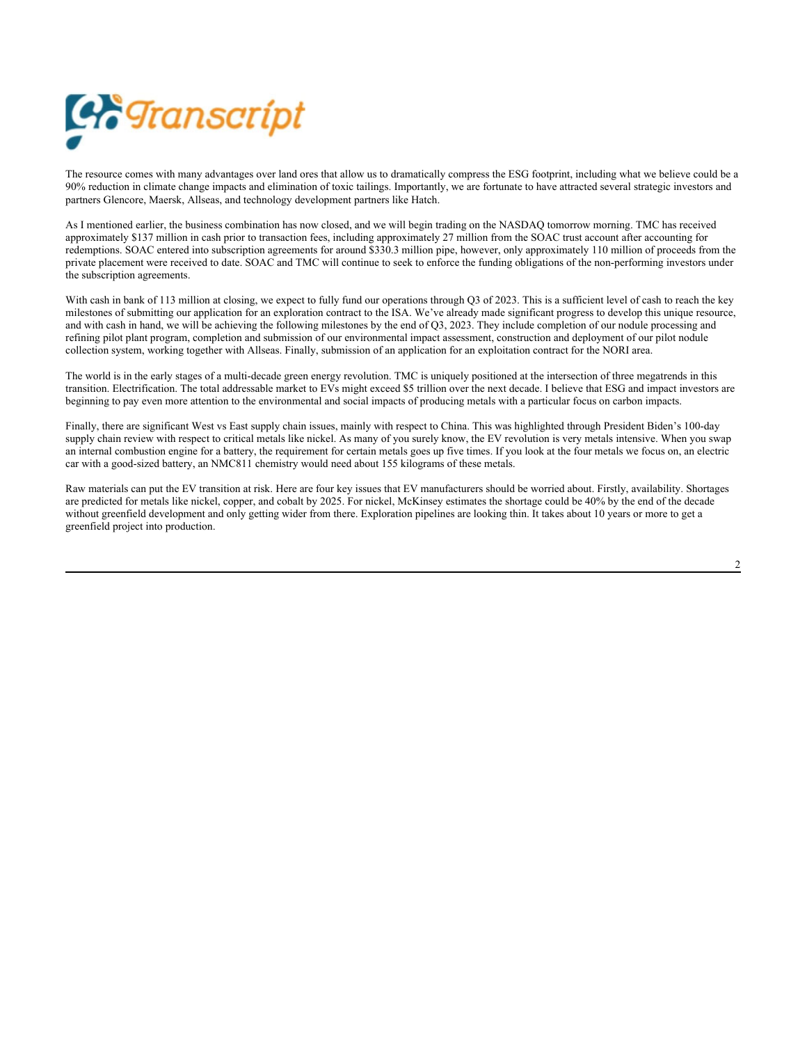

The resource comes with many advantages over land ores that allow us to dramatically compress the ESG footprint, including what we believe could be a 90% reduction in climate change impacts and elimination of toxic tailings. Importantly, we are fortunate to have attracted several strategic investors and partners Glencore, Maersk, Allseas, and technology development partners like Hatch.

As I mentioned earlier, the business combination has now closed, and we will begin trading on the NASDAQ tomorrow morning. TMC has received approximately \$137 million in cash prior to transaction fees, including approximately 27 million from the SOAC trust account after accounting for redemptions. SOAC entered into subscription agreements for around \$330.3 million pipe, however, only approximately 110 million of proceeds from the private placement were received to date. SOAC and TMC will continue to seek to enforce the funding obligations of the non-performing investors under the subscription agreements.

With cash in bank of 113 million at closing, we expect to fully fund our operations through Q3 of 2023. This is a sufficient level of cash to reach the key milestones of submitting our application for an exploration contract to the ISA. We've already made significant progress to develop this unique resource, and with cash in hand, we will be achieving the following milestones by the end of Q3, 2023. They include completion of our nodule processing and refining pilot plant program, completion and submission of our environmental impact assessment, construction and deployment of our pilot nodule collection system, working together with Allseas. Finally, submission of an application for an exploitation contract for the NORI area.

The world is in the early stages of a multi-decade green energy revolution. TMC is uniquely positioned at the intersection of three megatrends in this transition. Electrification. The total addressable market to EVs might exceed \$5 trillion over the next decade. I believe that ESG and impact investors are beginning to pay even more attention to the environmental and social impacts of producing metals with a particular focus on carbon impacts.

Finally, there are significant West vs East supply chain issues, mainly with respect to China. This was highlighted through President Biden's 100-day supply chain review with respect to critical metals like nickel. As many of you surely know, the EV revolution is very metals intensive. When you swap an internal combustion engine for a battery, the requirement for certain metals goes up five times. If you look at the four metals we focus on, an electric car with a good-sized battery, an NMC811 chemistry would need about 155 kilograms of these metals.

Raw materials can put the EV transition at risk. Here are four key issues that EV manufacturers should be worried about. Firstly, availability. Shortages are predicted for metals like nickel, copper, and cobalt by 2025. For nickel, McKinsey estimates the shortage could be 40% by the end of the decade without greenfield development and only getting wider from there. Exploration pipelines are looking thin. It takes about 10 years or more to get a greenfield project into production.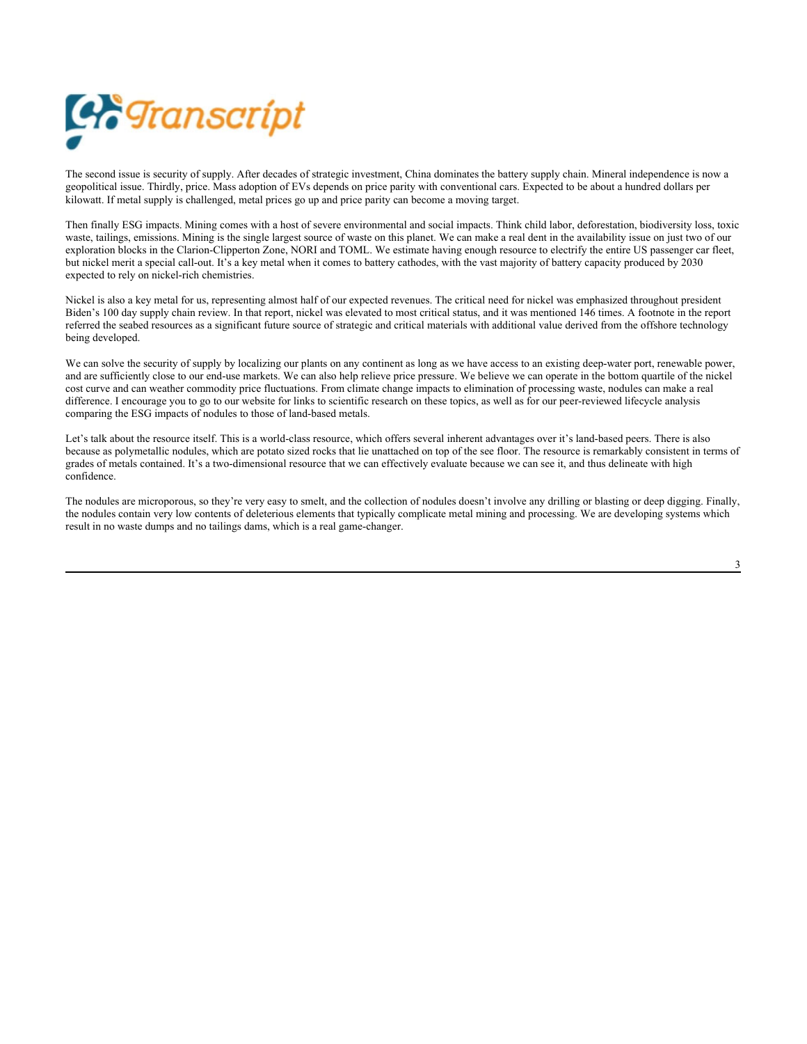

The second issue is security of supply. After decades of strategic investment, China dominates the battery supply chain. Mineral independence is now a geopolitical issue. Thirdly, price. Mass adoption of EVs depends on price parity with conventional cars. Expected to be about a hundred dollars per kilowatt. If metal supply is challenged, metal prices go up and price parity can become a moving target.

Then finally ESG impacts. Mining comes with a host of severe environmental and social impacts. Think child labor, deforestation, biodiversity loss, toxic waste, tailings, emissions. Mining is the single largest source of waste on this planet. We can make a real dent in the availability issue on just two of our exploration blocks in the Clarion-Clipperton Zone, NORI and TOML. We estimate having enough resource to electrify the entire US passenger car fleet, but nickel merit a special call-out. It's a key metal when it comes to battery cathodes, with the vast majority of battery capacity produced by 2030 expected to rely on nickel-rich chemistries.

Nickel is also a key metal for us, representing almost half of our expected revenues. The critical need for nickel was emphasized throughout president Biden's 100 day supply chain review. In that report, nickel was elevated to most critical status, and it was mentioned 146 times. A footnote in the report referred the seabed resources as a significant future source of strategic and critical materials with additional value derived from the offshore technology being developed.

We can solve the security of supply by localizing our plants on any continent as long as we have access to an existing deep-water port, renewable power, and are sufficiently close to our end-use markets. We can also help relieve price pressure. We believe we can operate in the bottom quartile of the nickel cost curve and can weather commodity price fluctuations. From climate change impacts to elimination of processing waste, nodules can make a real difference. I encourage you to go to our website for links to scientific research on these topics, as well as for our peer-reviewed lifecycle analysis comparing the ESG impacts of nodules to those of land-based metals.

Let's talk about the resource itself. This is a world-class resource, which offers several inherent advantages over it's land-based peers. There is also because as polymetallic nodules, which are potato sized rocks that lie unattached on top of the see floor. The resource is remarkably consistent in terms of grades of metals contained. It's a two-dimensional resource that we can effectively evaluate because we can see it, and thus delineate with high confidence.

The nodules are microporous, so they're very easy to smelt, and the collection of nodules doesn't involve any drilling or blasting or deep digging. Finally, the nodules contain very low contents of deleterious elements that typically complicate metal mining and processing. We are developing systems which result in no waste dumps and no tailings dams, which is a real game-changer.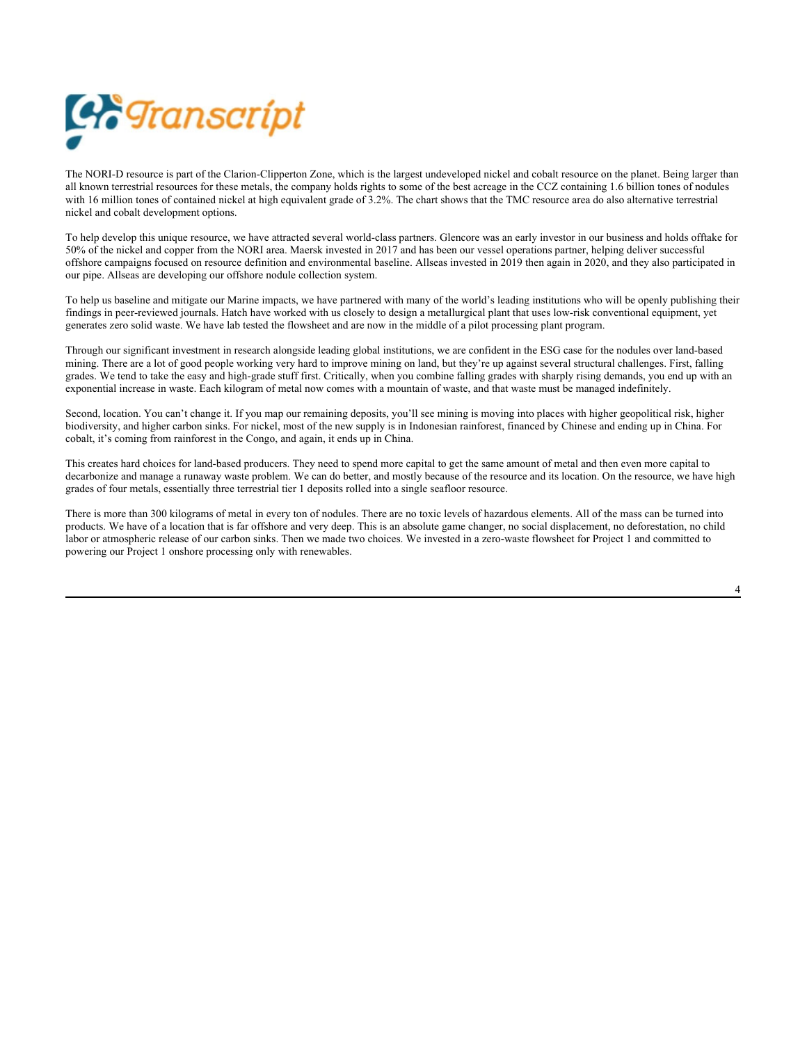

The NORI-D resource is part of the Clarion-Clipperton Zone, which is the largest undeveloped nickel and cobalt resource on the planet. Being larger than all known terrestrial resources for these metals, the company holds rights to some of the best acreage in the CCZ containing 1.6 billion tones of nodules with 16 million tones of contained nickel at high equivalent grade of 3.2%. The chart shows that the TMC resource area do also alternative terrestrial nickel and cobalt development options.

To help develop this unique resource, we have attracted several world-class partners. Glencore was an early investor in our business and holds offtake for 50% of the nickel and copper from the NORI area. Maersk invested in 2017 and has been our vessel operations partner, helping deliver successful offshore campaigns focused on resource definition and environmental baseline. Allseas invested in 2019 then again in 2020, and they also participated in our pipe. Allseas are developing our offshore nodule collection system.

To help us baseline and mitigate our Marine impacts, we have partnered with many of the world's leading institutions who will be openly publishing their findings in peer-reviewed journals. Hatch have worked with us closely to design a metallurgical plant that uses low-risk conventional equipment, yet generates zero solid waste. We have lab tested the flowsheet and are now in the middle of a pilot processing plant program.

Through our significant investment in research alongside leading global institutions, we are confident in the ESG case for the nodules over land-based mining. There are a lot of good people working very hard to improve mining on land, but they're up against several structural challenges. First, falling grades. We tend to take the easy and high-grade stuff first. Critically, when you combine falling grades with sharply rising demands, you end up with an exponential increase in waste. Each kilogram of metal now comes with a mountain of waste, and that waste must be managed indefinitely.

Second, location. You can't change it. If you map our remaining deposits, you'll see mining is moving into places with higher geopolitical risk, higher biodiversity, and higher carbon sinks. For nickel, most of the new supply is in Indonesian rainforest, financed by Chinese and ending up in China. For cobalt, it's coming from rainforest in the Congo, and again, it ends up in China.

This creates hard choices for land-based producers. They need to spend more capital to get the same amount of metal and then even more capital to decarbonize and manage a runaway waste problem. We can do better, and mostly because of the resource and its location. On the resource, we have high grades of four metals, essentially three terrestrial tier 1 deposits rolled into a single seafloor resource.

There is more than 300 kilograms of metal in every ton of nodules. There are no toxic levels of hazardous elements. All of the mass can be turned into products. We have of a location that is far offshore and very deep. This is an absolute game changer, no social displacement, no deforestation, no child labor or atmospheric release of our carbon sinks. Then we made two choices. We invested in a zero-waste flowsheet for Project 1 and committed to powering our Project 1 onshore processing only with renewables.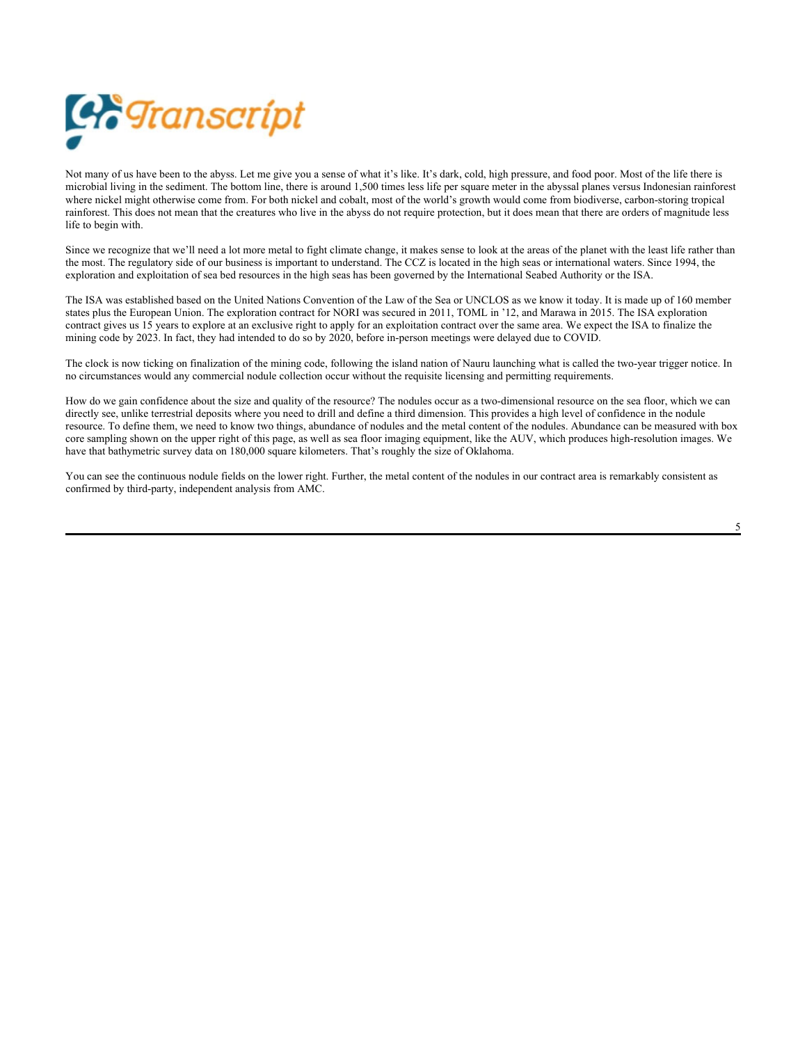

Not many of us have been to the abyss. Let me give you a sense of what it's like. It's dark, cold, high pressure, and food poor. Most of the life there is microbial living in the sediment. The bottom line, there is around 1,500 times less life per square meter in the abyssal planes versus Indonesian rainforest where nickel might otherwise come from. For both nickel and cobalt, most of the world's growth would come from biodiverse, carbon-storing tropical rainforest. This does not mean that the creatures who live in the abyss do not require protection, but it does mean that there are orders of magnitude less life to begin with.

Since we recognize that we'll need a lot more metal to fight climate change, it makes sense to look at the areas of the planet with the least life rather than the most. The regulatory side of our business is important to understand. The CCZ is located in the high seas or international waters. Since 1994, the exploration and exploitation of sea bed resources in the high seas has been governed by the International Seabed Authority or the ISA.

The ISA was established based on the United Nations Convention of the Law of the Sea or UNCLOS as we know it today. It is made up of 160 member states plus the European Union. The exploration contract for NORI was secured in 2011, TOML in '12, and Marawa in 2015. The ISA exploration contract gives us 15 years to explore at an exclusive right to apply for an exploitation contract over the same area. We expect the ISA to finalize the mining code by 2023. In fact, they had intended to do so by 2020, before in-person meetings were delayed due to COVID.

The clock is now ticking on finalization of the mining code, following the island nation of Nauru launching what is called the two-year trigger notice. In no circumstances would any commercial nodule collection occur without the requisite licensing and permitting requirements.

How do we gain confidence about the size and quality of the resource? The nodules occur as a two-dimensional resource on the sea floor, which we can directly see, unlike terrestrial deposits where you need to drill and define a third dimension. This provides a high level of confidence in the nodule resource. To define them, we need to know two things, abundance of nodules and the metal content of the nodules. Abundance can be measured with box core sampling shown on the upper right of this page, as well as sea floor imaging equipment, like the AUV, which produces high-resolution images. We have that bathymetric survey data on 180,000 square kilometers. That's roughly the size of Oklahoma.

You can see the continuous nodule fields on the lower right. Further, the metal content of the nodules in our contract area is remarkably consistent as confirmed by third-party, independent analysis from AMC.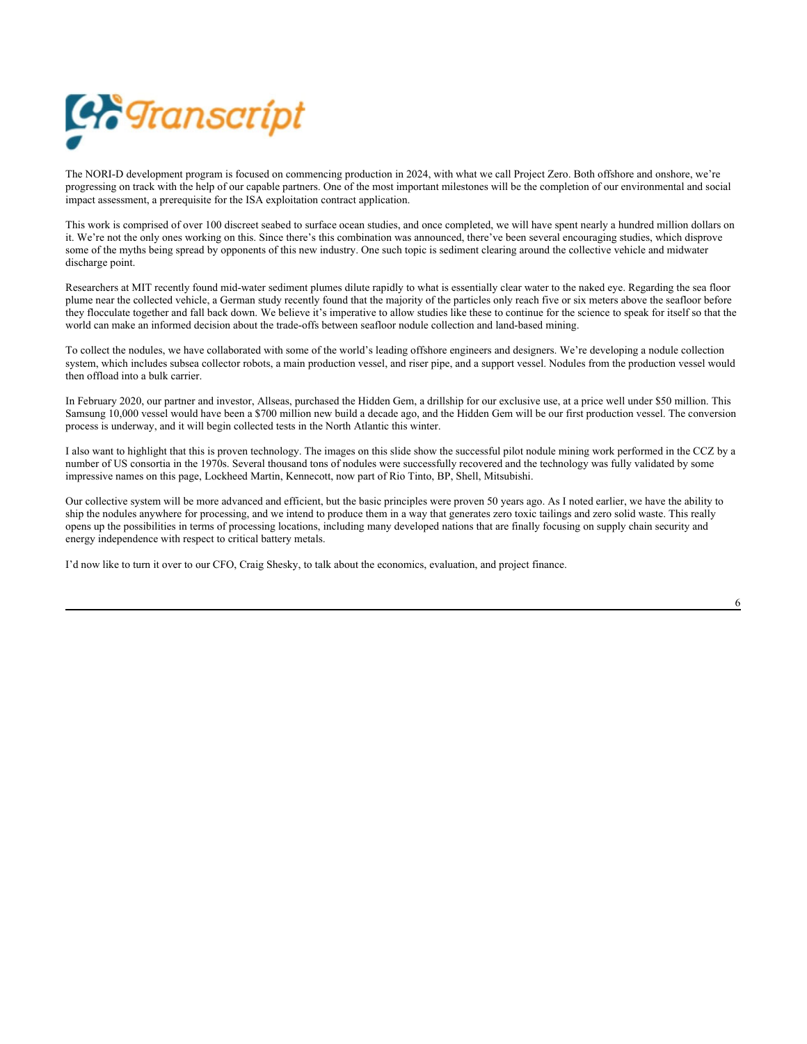

The NORI-D development program is focused on commencing production in 2024, with what we call Project Zero. Both offshore and onshore, we're progressing on track with the help of our capable partners. One of the most important milestones will be the completion of our environmental and social impact assessment, a prerequisite for the ISA exploitation contract application.

This work is comprised of over 100 discreet seabed to surface ocean studies, and once completed, we will have spent nearly a hundred million dollars on it. We're not the only ones working on this. Since there's this combination was announced, there've been several encouraging studies, which disprove some of the myths being spread by opponents of this new industry. One such topic is sediment clearing around the collective vehicle and midwater discharge point.

Researchers at MIT recently found mid-water sediment plumes dilute rapidly to what is essentially clear water to the naked eye. Regarding the sea floor plume near the collected vehicle, a German study recently found that the majority of the particles only reach five or six meters above the seafloor before they flocculate together and fall back down. We believe it's imperative to allow studies like these to continue for the science to speak for itself so that the world can make an informed decision about the trade-offs between seafloor nodule collection and land-based mining.

To collect the nodules, we have collaborated with some of the world's leading offshore engineers and designers. We're developing a nodule collection system, which includes subsea collector robots, a main production vessel, and riser pipe, and a support vessel. Nodules from the production vessel would then offload into a bulk carrier.

In February 2020, our partner and investor, Allseas, purchased the Hidden Gem, a drillship for our exclusive use, at a price well under \$50 million. This Samsung 10,000 vessel would have been a \$700 million new build a decade ago, and the Hidden Gem will be our first production vessel. The conversion process is underway, and it will begin collected tests in the North Atlantic this winter.

I also want to highlight that this is proven technology. The images on this slide show the successful pilot nodule mining work performed in the CCZ by a number of US consortia in the 1970s. Several thousand tons of nodules were successfully recovered and the technology was fully validated by some impressive names on this page, Lockheed Martin, Kennecott, now part of Rio Tinto, BP, Shell, Mitsubishi.

Our collective system will be more advanced and efficient, but the basic principles were proven 50 years ago. As I noted earlier, we have the ability to ship the nodules anywhere for processing, and we intend to produce them in a way that generates zero toxic tailings and zero solid waste. This really opens up the possibilities in terms of processing locations, including many developed nations that are finally focusing on supply chain security and energy independence with respect to critical battery metals.

I'd now like to turn it over to our CFO, Craig Shesky, to talk about the economics, evaluation, and project finance.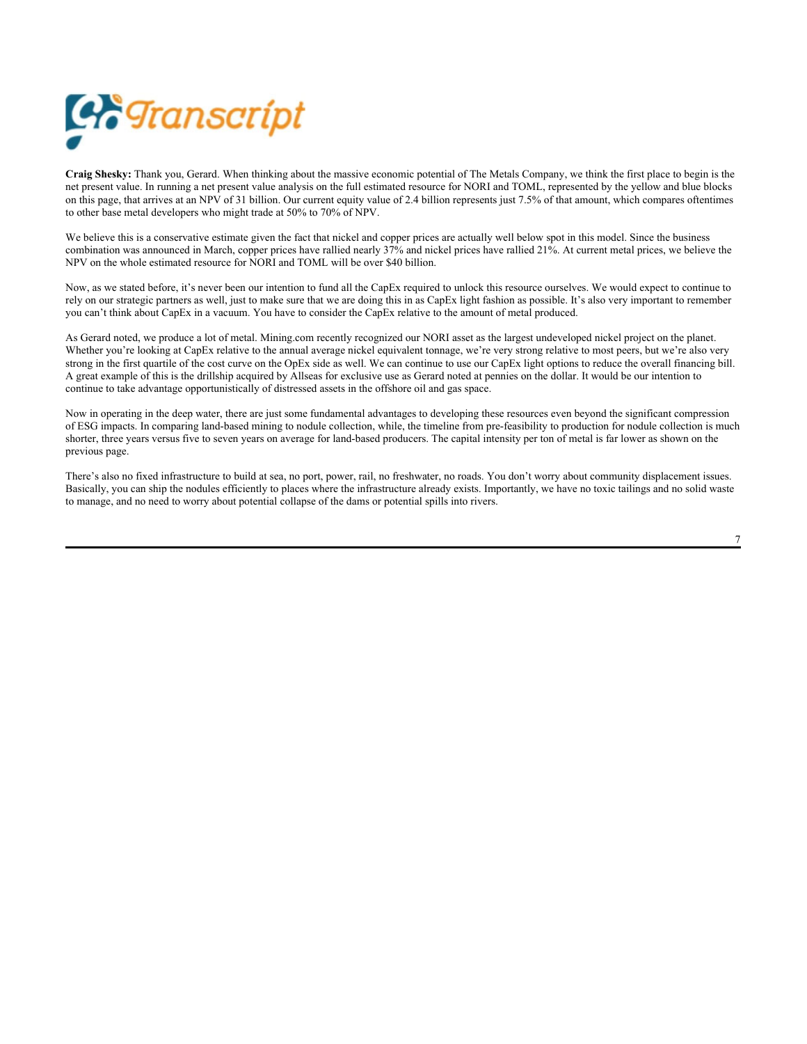

**Craig Shesky:** Thank you, Gerard. When thinking about the massive economic potential of The Metals Company, we think the first place to begin is the net present value. In running a net present value analysis on the full estimated resource for NORI and TOML, represented by the yellow and blue blocks on this page, that arrives at an NPV of 31 billion. Our current equity value of 2.4 billion represents just 7.5% of that amount, which compares oftentimes to other base metal developers who might trade at 50% to 70% of NPV.

We believe this is a conservative estimate given the fact that nickel and copper prices are actually well below spot in this model. Since the business combination was announced in March, copper prices have rallied nearly 37% and nickel prices have rallied 21%. At current metal prices, we believe the NPV on the whole estimated resource for NORI and TOML will be over \$40 billion.

Now, as we stated before, it's never been our intention to fund all the CapEx required to unlock this resource ourselves. We would expect to continue to rely on our strategic partners as well, just to make sure that we are doing this in as CapEx light fashion as possible. It's also very important to remember you can't think about CapEx in a vacuum. You have to consider the CapEx relative to the amount of metal produced.

As Gerard noted, we produce a lot of metal. Mining.com recently recognized our NORI asset as the largest undeveloped nickel project on the planet. Whether you're looking at CapEx relative to the annual average nickel equivalent tonnage, we're very strong relative to most peers, but we're also very strong in the first quartile of the cost curve on the OpEx side as well. We can continue to use our CapEx light options to reduce the overall financing bill. A great example of this is the drillship acquired by Allseas for exclusive use as Gerard noted at pennies on the dollar. It would be our intention to continue to take advantage opportunistically of distressed assets in the offshore oil and gas space.

Now in operating in the deep water, there are just some fundamental advantages to developing these resources even beyond the significant compression of ESG impacts. In comparing land-based mining to nodule collection, while, the timeline from pre-feasibility to production for nodule collection is much shorter, three years versus five to seven years on average for land-based producers. The capital intensity per ton of metal is far lower as shown on the previous page.

There's also no fixed infrastructure to build at sea, no port, power, rail, no freshwater, no roads. You don't worry about community displacement issues. Basically, you can ship the nodules efficiently to places where the infrastructure already exists. Importantly, we have no toxic tailings and no solid waste to manage, and no need to worry about potential collapse of the dams or potential spills into rivers.